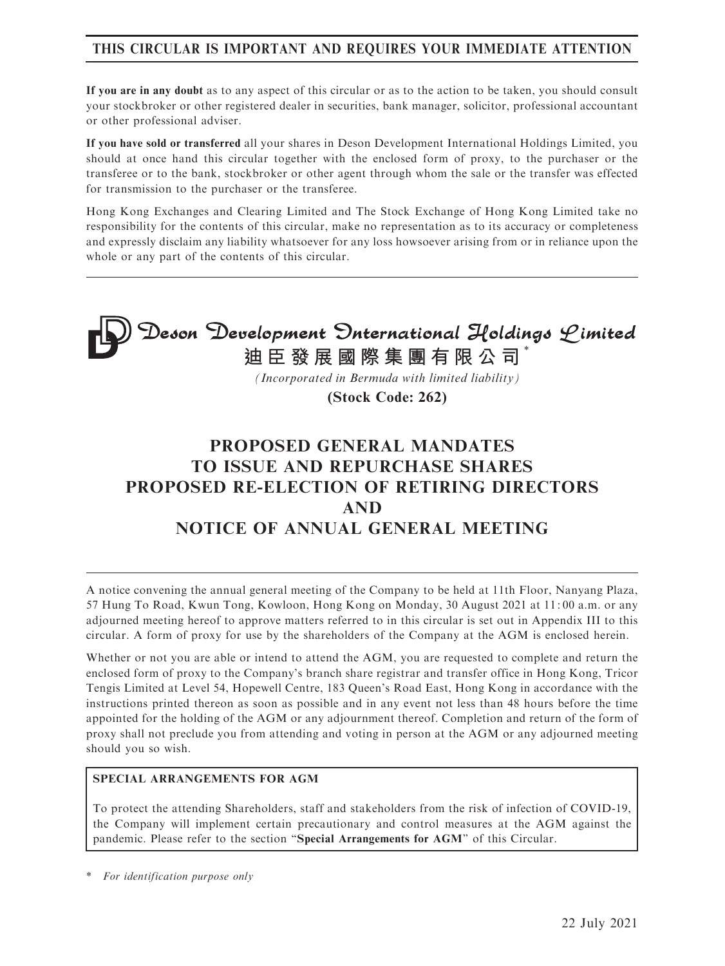# THIS CIRCULAR IS IMPORTANT AND REQUIRES YOUR IMMEDIATE ATTENTION

If you are in any doubt as to any aspect of this circular or as to the action to be taken, you should consult your stockbroker or other registered dealer in securities, bank manager, solicitor, professional accountant or other professional adviser.

If you have sold or transferred all your shares in Deson Development International Holdings Limited, you should at once hand this circular together with the enclosed form of proxy, to the purchaser or the transferee or to the bank, stockbroker or other agent through whom the sale or the transfer was effected for transmission to the purchaser or the transferee.

Hong Kong Exchanges and Clearing Limited and The Stock Exchange of Hong Kong Limited take no responsibility for the contents of this circular, make no representation as to its accuracy or completeness and expressly disclaim any liability whatsoever for any loss howsoever arising from or in reliance upon the whole or any part of the contents of this circular.

**Deson Development Onternational Holdings Limited<br>迪臣發展國際集團有限公司\*** 

*(Incorporated in Bermuda with limited liability)*

**(Stock Code: 262)**

# PROPOSED GENERAL MANDATES TO ISSUE AND REPURCHASE SHARES PROPOSED RE-ELECTION OF RETIRING DIRECTORS AND NOTICE OF ANNUAL GENERAL MEETING

A notice convening the annual general meeting of the Company to be held at 11th Floor, Nanyang Plaza, 57 Hung To Road, Kwun Tong, Kowloon, Hong Kong on Monday, 30 August 2021 at 11: 00 a.m. or any adjourned meeting hereof to approve matters referred to in this circular is set out in Appendix III to this circular. A form of proxy for use by the shareholders of the Company at the AGM is enclosed herein.

Whether or not you are able or intend to attend the AGM, you are requested to complete and return the enclosed form of proxy to the Company's branch share registrar and transfer office in Hong Kong, Tricor Tengis Limited at Level 54, Hopewell Centre, 183 Queen's Road East, Hong Kong in accordance with the instructions printed thereon as soon as possible and in any event not less than 48 hours before the time appointed for the holding of the AGM or any adjournment thereof. Completion and return of the form of proxy shall not preclude you from attending and voting in person at the AGM or any adjourned meeting should you so wish.

#### SPECIAL ARRANGEMENTS FOR AGM

To protect the attending Shareholders, staff and stakeholders from the risk of infection of COVID-19, the Company will implement certain precautionary and control measures at the AGM against the pandemic. Please refer to the section ''Special Arrangements for AGM'' of this Circular.

For identification purpose only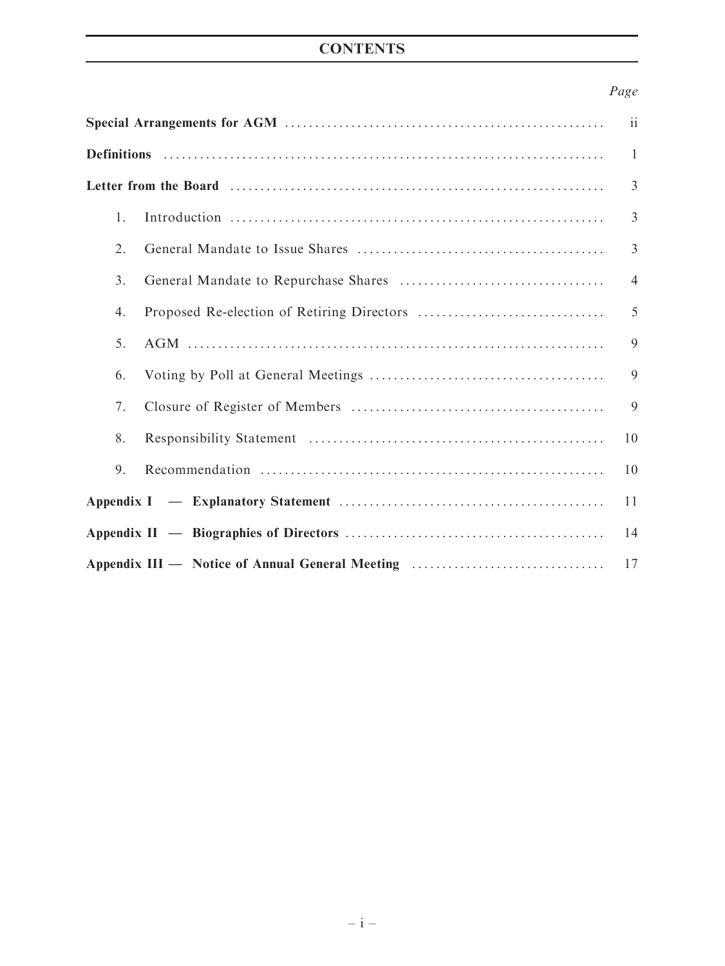# **CONTENTS**

# Page

|               |                                                 | ii             |  |
|---------------|-------------------------------------------------|----------------|--|
|               |                                                 |                |  |
|               |                                                 |                |  |
| 1.            |                                                 | $\overline{3}$ |  |
| 2.            |                                                 | $\overline{3}$ |  |
| $\mathcal{E}$ |                                                 | $\overline{4}$ |  |
| 4.            |                                                 | 5              |  |
| 5.            |                                                 | 9              |  |
| 6.            |                                                 | 9              |  |
| 7.            |                                                 | 9              |  |
| 8.            |                                                 | 10             |  |
| 9.            |                                                 | 10             |  |
|               |                                                 | 11             |  |
|               |                                                 | 14             |  |
|               | Appendix III — Notice of Annual General Meeting | 17             |  |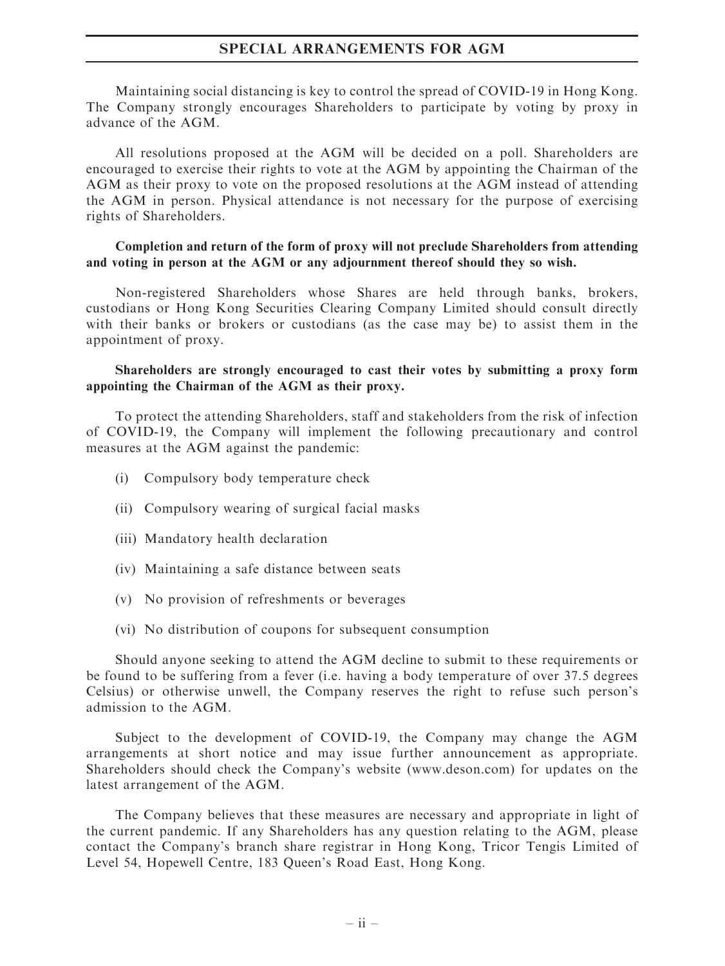#### SPECIAL ARRANGEMENTS FOR AGM

Maintaining social distancing is key to control the spread of COVID-19 in Hong Kong. The Company strongly encourages Shareholders to participate by voting by proxy in advance of the AGM.

All resolutions proposed at the AGM will be decided on a poll. Shareholders are encouraged to exercise their rights to vote at the AGM by appointing the Chairman of the AGM as their proxy to vote on the proposed resolutions at the AGM instead of attending the AGM in person. Physical attendance is not necessary for the purpose of exercising rights of Shareholders.

#### Completion and return of the form of proxy will not preclude Shareholders from attending and voting in person at the AGM or any adjournment thereof should they so wish.

Non-registered Shareholders whose Shares are held through banks, brokers, custodians or Hong Kong Securities Clearing Company Limited should consult directly with their banks or brokers or custodians (as the case may be) to assist them in the appointment of proxy.

#### Shareholders are strongly encouraged to cast their votes by submitting a proxy form appointing the Chairman of the AGM as their proxy.

To protect the attending Shareholders, staff and stakeholders from the risk of infection of COVID-19, the Company will implement the following precautionary and control measures at the AGM against the pandemic:

- (i) Compulsory body temperature check
- (ii) Compulsory wearing of surgical facial masks
- (iii) Mandatory health declaration
- (iv) Maintaining a safe distance between seats
- (v) No provision of refreshments or beverages
- (vi) No distribution of coupons for subsequent consumption

Should anyone seeking to attend the AGM decline to submit to these requirements or be found to be suffering from a fever (i.e. having a body temperature of over 37.5 degrees Celsius) or otherwise unwell, the Company reserves the right to refuse such person's admission to the AGM.

Subject to the development of COVID-19, the Company may change the AGM arrangements at short notice and may issue further announcement as appropriate. Shareholders should check the Company's website (www.deson.com) for updates on the latest arrangement of the AGM.

The Company believes that these measures are necessary and appropriate in light of the current pandemic. If any Shareholders has any question relating to the AGM, please contact the Company's branch share registrar in Hong Kong, Tricor Tengis Limited of Level 54, Hopewell Centre, 183 Queen's Road East, Hong Kong.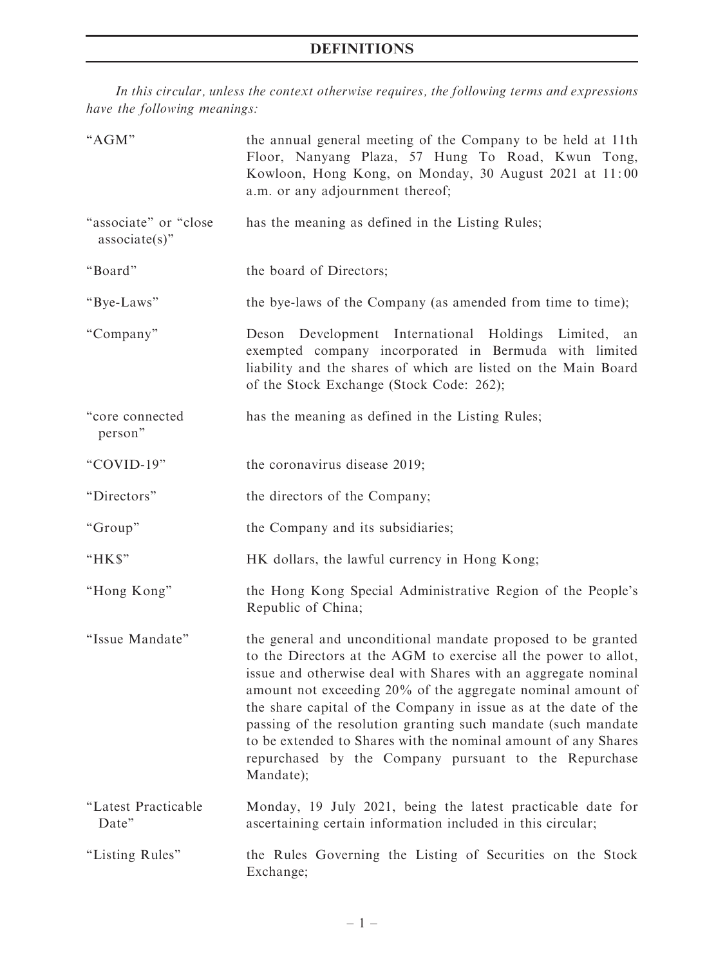# DEFINITIONS

In this circular, unless the context otherwise requires, the following terms and expressions have the following meanings:

| "AGM"                                     | the annual general meeting of the Company to be held at 11th<br>Floor, Nanyang Plaza, 57 Hung To Road, Kwun Tong,<br>Kowloon, Hong Kong, on Monday, 30 August 2021 at 11:00<br>a.m. or any adjournment thereof;                                                                                                                                                                                                                                                                                                                              |  |  |
|-------------------------------------------|----------------------------------------------------------------------------------------------------------------------------------------------------------------------------------------------------------------------------------------------------------------------------------------------------------------------------------------------------------------------------------------------------------------------------------------------------------------------------------------------------------------------------------------------|--|--|
| "associate" or "close<br>$associate(s)$ " | has the meaning as defined in the Listing Rules;                                                                                                                                                                                                                                                                                                                                                                                                                                                                                             |  |  |
| "Board"                                   | the board of Directors;                                                                                                                                                                                                                                                                                                                                                                                                                                                                                                                      |  |  |
| "Bye-Laws"                                | the bye-laws of the Company (as amended from time to time);                                                                                                                                                                                                                                                                                                                                                                                                                                                                                  |  |  |
| "Company"                                 | Deson Development International Holdings Limited,<br>an<br>exempted company incorporated in Bermuda with limited<br>liability and the shares of which are listed on the Main Board<br>of the Stock Exchange (Stock Code: 262);                                                                                                                                                                                                                                                                                                               |  |  |
| "core connected<br>person"                | has the meaning as defined in the Listing Rules;                                                                                                                                                                                                                                                                                                                                                                                                                                                                                             |  |  |
| "COVID-19"                                | the coronavirus disease 2019;                                                                                                                                                                                                                                                                                                                                                                                                                                                                                                                |  |  |
| "Directors"                               | the directors of the Company;                                                                                                                                                                                                                                                                                                                                                                                                                                                                                                                |  |  |
| "Group"                                   | the Company and its subsidiaries;                                                                                                                                                                                                                                                                                                                                                                                                                                                                                                            |  |  |
| "HK\$"                                    | HK dollars, the lawful currency in Hong Kong;                                                                                                                                                                                                                                                                                                                                                                                                                                                                                                |  |  |
| "Hong Kong"                               | the Hong Kong Special Administrative Region of the People's<br>Republic of China;                                                                                                                                                                                                                                                                                                                                                                                                                                                            |  |  |
| "Issue Mandate"                           | the general and unconditional mandate proposed to be granted<br>to the Directors at the AGM to exercise all the power to allot,<br>issue and otherwise deal with Shares with an aggregate nominal<br>amount not exceeding 20% of the aggregate nominal amount of<br>the share capital of the Company in issue as at the date of the<br>passing of the resolution granting such mandate (such mandate<br>to be extended to Shares with the nominal amount of any Shares<br>repurchased by the Company pursuant to the Repurchase<br>Mandate); |  |  |
| "Latest Practicable<br>Date"              | Monday, 19 July 2021, being the latest practicable date for<br>ascertaining certain information included in this circular;                                                                                                                                                                                                                                                                                                                                                                                                                   |  |  |
| "Listing Rules"                           | the Rules Governing the Listing of Securities on the Stock<br>Exchange;                                                                                                                                                                                                                                                                                                                                                                                                                                                                      |  |  |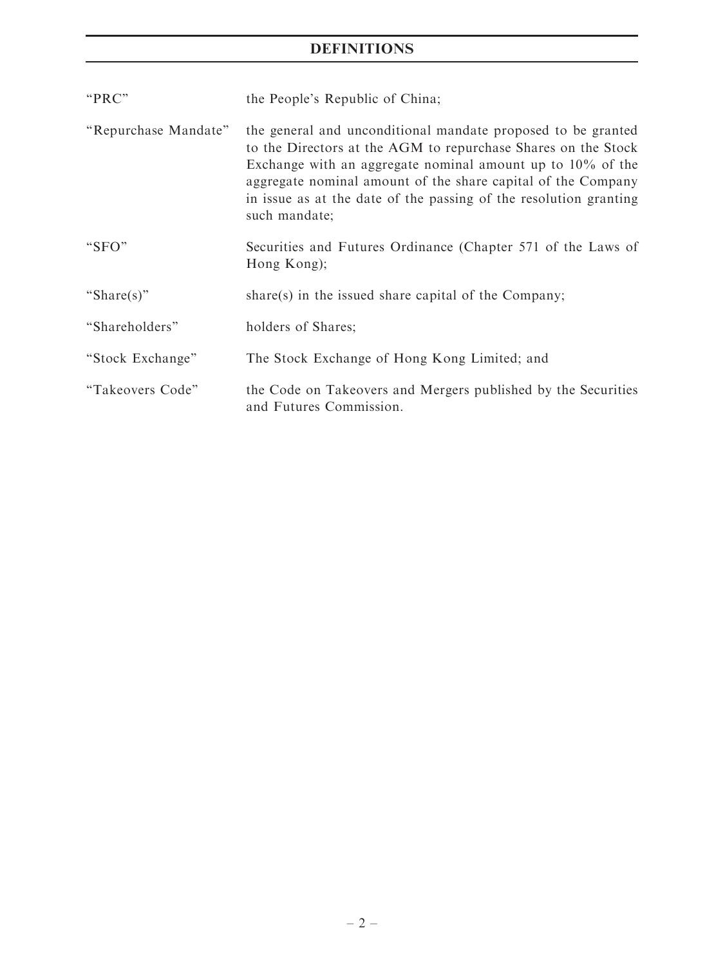# DEFINITIONS

| "PRC"                | the People's Republic of China;                                                                                                                                                                                                                                                                                                                      |  |  |  |
|----------------------|------------------------------------------------------------------------------------------------------------------------------------------------------------------------------------------------------------------------------------------------------------------------------------------------------------------------------------------------------|--|--|--|
| "Repurchase Mandate" | the general and unconditional mandate proposed to be granted<br>to the Directors at the AGM to repurchase Shares on the Stock<br>Exchange with an aggregate nominal amount up to $10\%$ of the<br>aggregate nominal amount of the share capital of the Company<br>in issue as at the date of the passing of the resolution granting<br>such mandate; |  |  |  |
| "SFO"                | Securities and Futures Ordinance (Chapter 571 of the Laws of<br>Hong Kong);                                                                                                                                                                                                                                                                          |  |  |  |
| "Share(s)"           | share(s) in the issued share capital of the Company;                                                                                                                                                                                                                                                                                                 |  |  |  |
| "Shareholders"       | holders of Shares;                                                                                                                                                                                                                                                                                                                                   |  |  |  |
| "Stock Exchange"     | The Stock Exchange of Hong Kong Limited; and                                                                                                                                                                                                                                                                                                         |  |  |  |
| "Takeovers Code"     | the Code on Takeovers and Mergers published by the Securities<br>and Futures Commission.                                                                                                                                                                                                                                                             |  |  |  |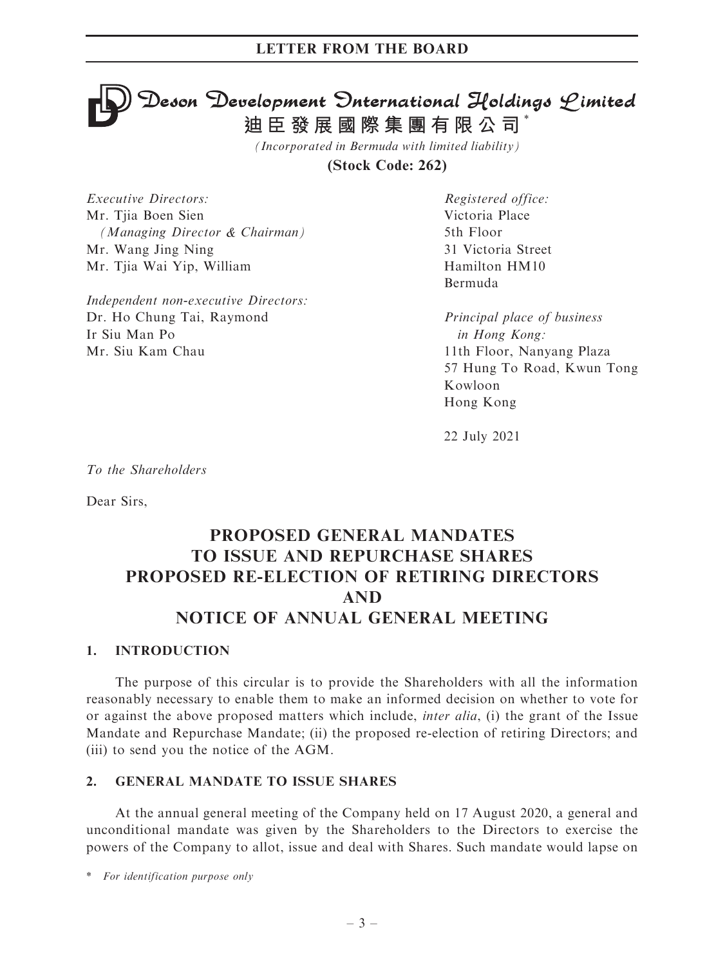# $\mathfrak{D}$ eson  $\mathfrak{D}$ evelopment  $\mathfrak{D}$ nternational Holdings  $\mathfrak{L}$ imited **迪臣發展國際集團有限公司** \*

*(Incorporated in Bermuda with limited liability)*

**(Stock Code: 262)**

Executive Directors: Mr. Tjia Boen Sien (Managing Director & Chairman) Mr. Wang Jing Ning Mr. Tjia Wai Yip, William

Independent non-executive Directors: Dr. Ho Chung Tai, Raymond Ir Siu Man Po Mr. Siu Kam Chau

Registered office: Victoria Place 5th Floor 31 Victoria Street Hamilton HM10 Bermuda

Principal place of business in Hong Kong: 11th Floor, Nanyang Plaza 57 Hung To Road, Kwun Tong Kowloon Hong Kong

22 July 2021

To the Shareholders

Dear Sirs,

# PROPOSED GENERAL MANDATES TO ISSUE AND REPURCHASE SHARES PROPOSED RE-ELECTION OF RETIRING DIRECTORS AND NOTICE OF ANNUAL GENERAL MEETING

### 1. INTRODUCTION

The purpose of this circular is to provide the Shareholders with all the information reasonably necessary to enable them to make an informed decision on whether to vote for or against the above proposed matters which include, inter alia, (i) the grant of the Issue Mandate and Repurchase Mandate; (ii) the proposed re-election of retiring Directors; and (iii) to send you the notice of the AGM.

#### 2. GENERAL MANDATE TO ISSUE SHARES

At the annual general meeting of the Company held on 17 August 2020, a general and unconditional mandate was given by the Shareholders to the Directors to exercise the powers of the Company to allot, issue and deal with Shares. Such mandate would lapse on

\* For identification purpose only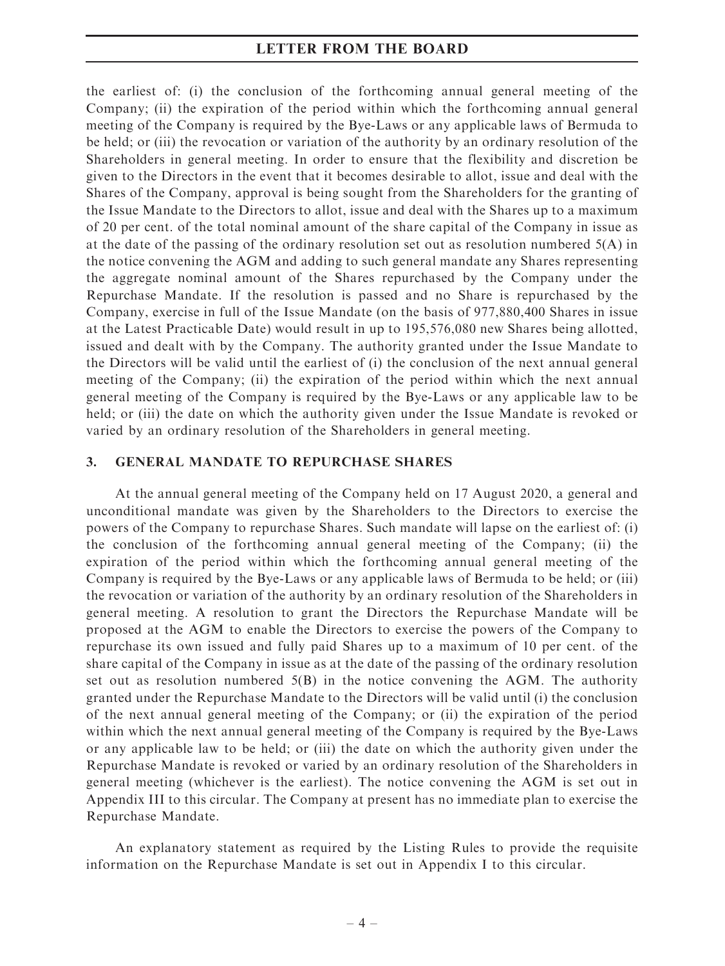the earliest of: (i) the conclusion of the forthcoming annual general meeting of the Company; (ii) the expiration of the period within which the forthcoming annual general meeting of the Company is required by the Bye-Laws or any applicable laws of Bermuda to be held; or (iii) the revocation or variation of the authority by an ordinary resolution of the Shareholders in general meeting. In order to ensure that the flexibility and discretion be given to the Directors in the event that it becomes desirable to allot, issue and deal with the Shares of the Company, approval is being sought from the Shareholders for the granting of the Issue Mandate to the Directors to allot, issue and deal with the Shares up to a maximum of 20 per cent. of the total nominal amount of the share capital of the Company in issue as at the date of the passing of the ordinary resolution set out as resolution numbered 5(A) in the notice convening the AGM and adding to such general mandate any Shares representing the aggregate nominal amount of the Shares repurchased by the Company under the Repurchase Mandate. If the resolution is passed and no Share is repurchased by the Company, exercise in full of the Issue Mandate (on the basis of 977,880,400 Shares in issue at the Latest Practicable Date) would result in up to 195,576,080 new Shares being allotted, issued and dealt with by the Company. The authority granted under the Issue Mandate to the Directors will be valid until the earliest of (i) the conclusion of the next annual general meeting of the Company; (ii) the expiration of the period within which the next annual general meeting of the Company is required by the Bye-Laws or any applicable law to be held; or (iii) the date on which the authority given under the Issue Mandate is revoked or varied by an ordinary resolution of the Shareholders in general meeting.

#### 3. GENERAL MANDATE TO REPURCHASE SHARES

At the annual general meeting of the Company held on 17 August 2020, a general and unconditional mandate was given by the Shareholders to the Directors to exercise the powers of the Company to repurchase Shares. Such mandate will lapse on the earliest of: (i) the conclusion of the forthcoming annual general meeting of the Company; (ii) the expiration of the period within which the forthcoming annual general meeting of the Company is required by the Bye-Laws or any applicable laws of Bermuda to be held; or (iii) the revocation or variation of the authority by an ordinary resolution of the Shareholders in general meeting. A resolution to grant the Directors the Repurchase Mandate will be proposed at the AGM to enable the Directors to exercise the powers of the Company to repurchase its own issued and fully paid Shares up to a maximum of 10 per cent. of the share capital of the Company in issue as at the date of the passing of the ordinary resolution set out as resolution numbered  $5(B)$  in the notice convening the AGM. The authority granted under the Repurchase Mandate to the Directors will be valid until (i) the conclusion of the next annual general meeting of the Company; or (ii) the expiration of the period within which the next annual general meeting of the Company is required by the Bye-Laws or any applicable law to be held; or (iii) the date on which the authority given under the Repurchase Mandate is revoked or varied by an ordinary resolution of the Shareholders in general meeting (whichever is the earliest). The notice convening the AGM is set out in Appendix III to this circular. The Company at present has no immediate plan to exercise the Repurchase Mandate.

An explanatory statement as required by the Listing Rules to provide the requisite information on the Repurchase Mandate is set out in Appendix I to this circular.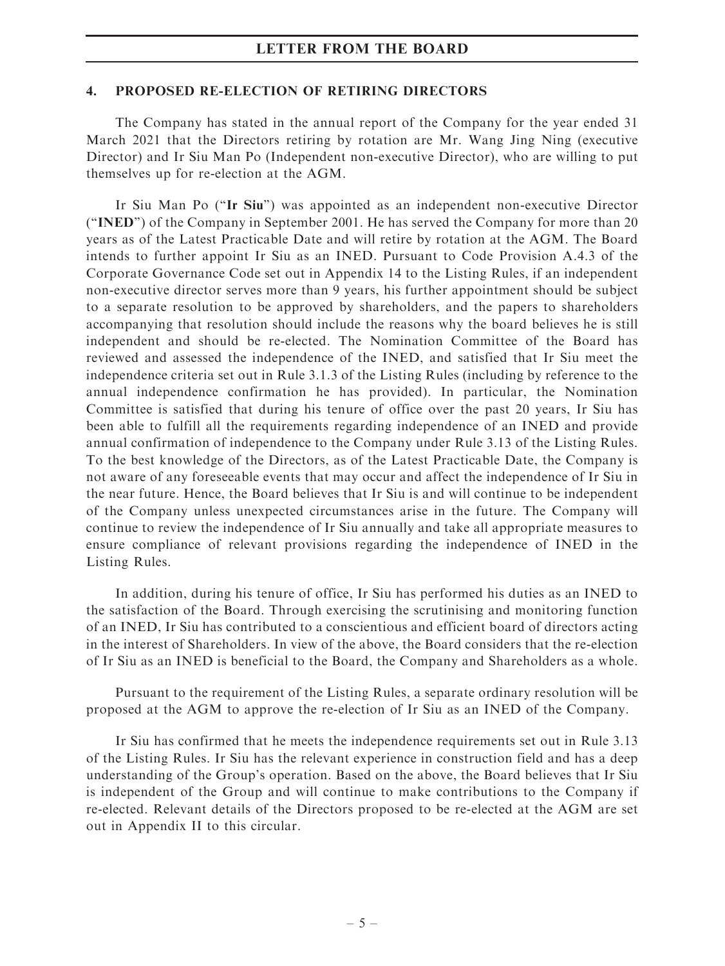#### 4. PROPOSED RE-ELECTION OF RETIRING DIRECTORS

The Company has stated in the annual report of the Company for the year ended 31 March 2021 that the Directors retiring by rotation are Mr. Wang Jing Ning (executive Director) and Ir Siu Man Po (Independent non-executive Director), who are willing to put themselves up for re-election at the AGM.

Ir Siu Man Po (''Ir Siu'') was appointed as an independent non-executive Director (''INED'') of the Company in September 2001. He has served the Company for more than 20 years as of the Latest Practicable Date and will retire by rotation at the AGM. The Board intends to further appoint Ir Siu as an INED. Pursuant to Code Provision A.4.3 of the Corporate Governance Code set out in Appendix 14 to the Listing Rules, if an independent non-executive director serves more than 9 years, his further appointment should be subject to a separate resolution to be approved by shareholders, and the papers to shareholders accompanying that resolution should include the reasons why the board believes he is still independent and should be re-elected. The Nomination Committee of the Board has reviewed and assessed the independence of the INED, and satisfied that Ir Siu meet the independence criteria set out in Rule 3.1.3 of the Listing Rules (including by reference to the annual independence confirmation he has provided). In particular, the Nomination Committee is satisfied that during his tenure of office over the past 20 years, Ir Siu has been able to fulfill all the requirements regarding independence of an INED and provide annual confirmation of independence to the Company under Rule 3.13 of the Listing Rules. To the best knowledge of the Directors, as of the Latest Practicable Date, the Company is not aware of any foreseeable events that may occur and affect the independence of Ir Siu in the near future. Hence, the Board believes that Ir Siu is and will continue to be independent of the Company unless unexpected circumstances arise in the future. The Company will continue to review the independence of Ir Siu annually and take all appropriate measures to ensure compliance of relevant provisions regarding the independence of INED in the Listing Rules.

In addition, during his tenure of office, Ir Siu has performed his duties as an INED to the satisfaction of the Board. Through exercising the scrutinising and monitoring function of an INED, Ir Siu has contributed to a conscientious and efficient board of directors acting in the interest of Shareholders. In view of the above, the Board considers that the re-election of Ir Siu as an INED is beneficial to the Board, the Company and Shareholders as a whole.

Pursuant to the requirement of the Listing Rules, a separate ordinary resolution will be proposed at the AGM to approve the re-election of Ir Siu as an INED of the Company.

Ir Siu has confirmed that he meets the independence requirements set out in Rule 3.13 of the Listing Rules. Ir Siu has the relevant experience in construction field and has a deep understanding of the Group's operation. Based on the above, the Board believes that Ir Siu is independent of the Group and will continue to make contributions to the Company if re-elected. Relevant details of the Directors proposed to be re-elected at the AGM are set out in Appendix II to this circular.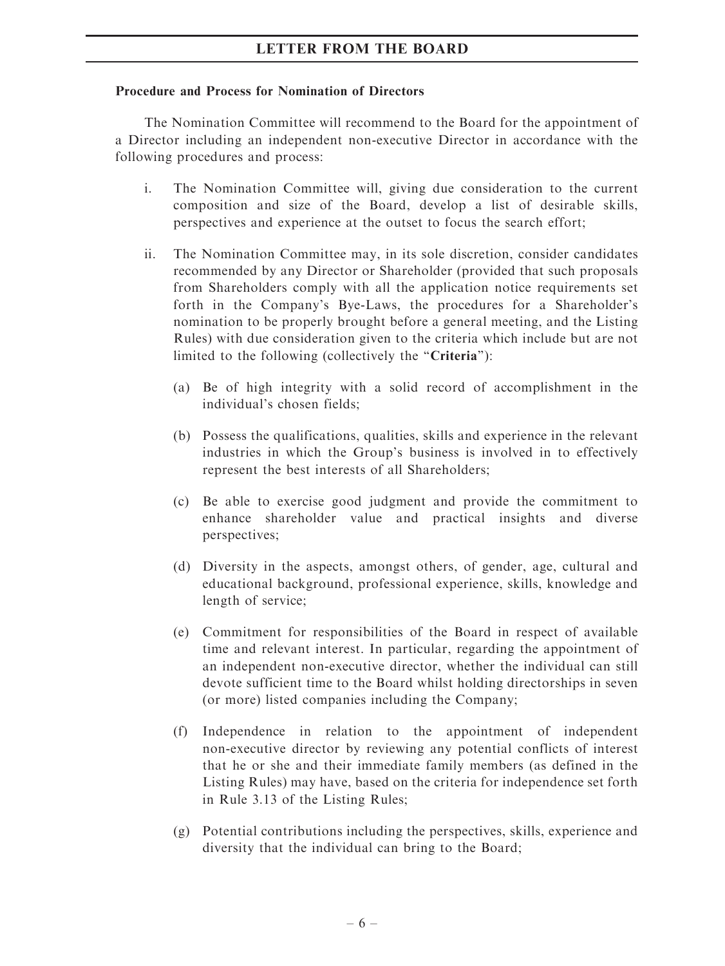### Procedure and Process for Nomination of Directors

The Nomination Committee will recommend to the Board for the appointment of a Director including an independent non-executive Director in accordance with the following procedures and process:

- i. The Nomination Committee will, giving due consideration to the current composition and size of the Board, develop a list of desirable skills, perspectives and experience at the outset to focus the search effort;
- ii. The Nomination Committee may, in its sole discretion, consider candidates recommended by any Director or Shareholder (provided that such proposals from Shareholders comply with all the application notice requirements set forth in the Company's Bye-Laws, the procedures for a Shareholder's nomination to be properly brought before a general meeting, and the Listing Rules) with due consideration given to the criteria which include but are not limited to the following (collectively the "Criteria"):
	- (a) Be of high integrity with a solid record of accomplishment in the individual's chosen fields;
	- (b) Possess the qualifications, qualities, skills and experience in the relevant industries in which the Group's business is involved in to effectively represent the best interests of all Shareholders;
	- (c) Be able to exercise good judgment and provide the commitment to enhance shareholder value and practical insights and diverse perspectives;
	- (d) Diversity in the aspects, amongst others, of gender, age, cultural and educational background, professional experience, skills, knowledge and length of service;
	- (e) Commitment for responsibilities of the Board in respect of available time and relevant interest. In particular, regarding the appointment of an independent non-executive director, whether the individual can still devote sufficient time to the Board whilst holding directorships in seven (or more) listed companies including the Company;
	- (f) Independence in relation to the appointment of independent non-executive director by reviewing any potential conflicts of interest that he or she and their immediate family members (as defined in the Listing Rules) may have, based on the criteria for independence set forth in Rule 3.13 of the Listing Rules;
	- (g) Potential contributions including the perspectives, skills, experience and diversity that the individual can bring to the Board;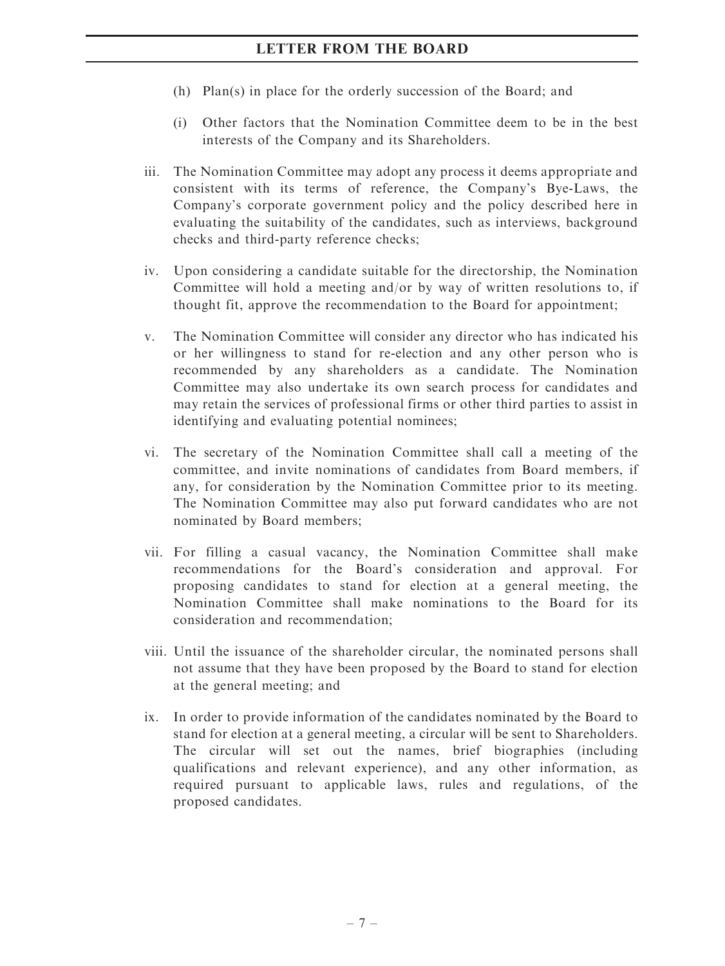- (h) Plan(s) in place for the orderly succession of the Board; and
- (i) Other factors that the Nomination Committee deem to be in the best interests of the Company and its Shareholders.
- iii. The Nomination Committee may adopt any process it deems appropriate and consistent with its terms of reference, the Company's Bye-Laws, the Company's corporate government policy and the policy described here in evaluating the suitability of the candidates, such as interviews, background checks and third-party reference checks;
- iv. Upon considering a candidate suitable for the directorship, the Nomination Committee will hold a meeting and/or by way of written resolutions to, if thought fit, approve the recommendation to the Board for appointment;
- v. The Nomination Committee will consider any director who has indicated his or her willingness to stand for re-election and any other person who is recommended by any shareholders as a candidate. The Nomination Committee may also undertake its own search process for candidates and may retain the services of professional firms or other third parties to assist in identifying and evaluating potential nominees;
- vi. The secretary of the Nomination Committee shall call a meeting of the committee, and invite nominations of candidates from Board members, if any, for consideration by the Nomination Committee prior to its meeting. The Nomination Committee may also put forward candidates who are not nominated by Board members;
- vii. For filling a casual vacancy, the Nomination Committee shall make recommendations for the Board's consideration and approval. For proposing candidates to stand for election at a general meeting, the Nomination Committee shall make nominations to the Board for its consideration and recommendation;
- viii. Until the issuance of the shareholder circular, the nominated persons shall not assume that they have been proposed by the Board to stand for election at the general meeting; and
- ix. In order to provide information of the candidates nominated by the Board to stand for election at a general meeting, a circular will be sent to Shareholders. The circular will set out the names, brief biographies (including qualifications and relevant experience), and any other information, as required pursuant to applicable laws, rules and regulations, of the proposed candidates.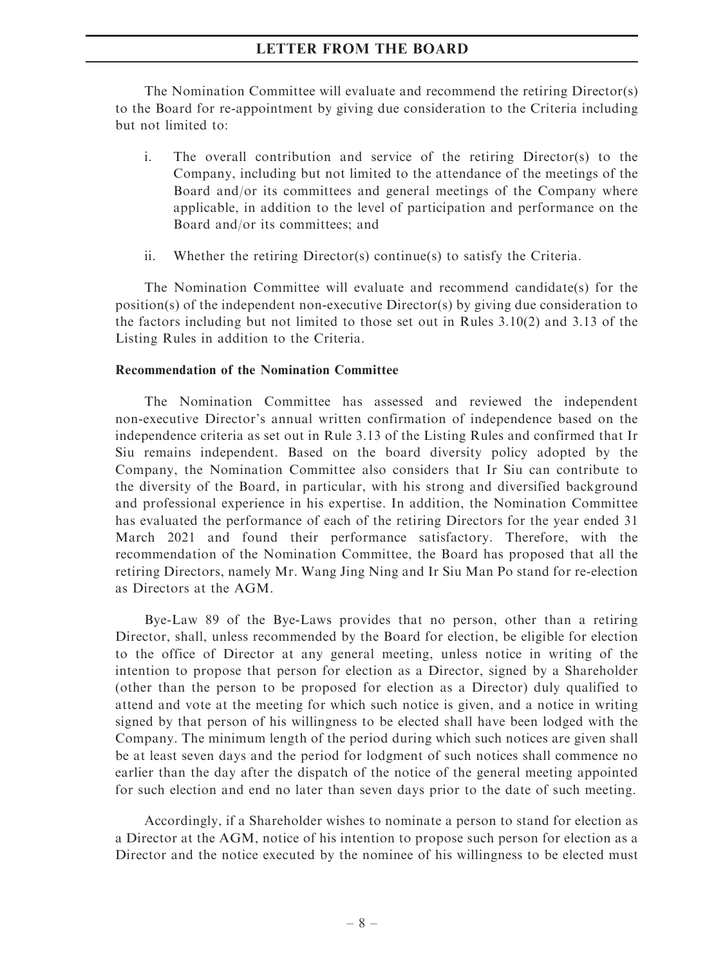The Nomination Committee will evaluate and recommend the retiring Director(s) to the Board for re-appointment by giving due consideration to the Criteria including but not limited to:

- i. The overall contribution and service of the retiring Director(s) to the Company, including but not limited to the attendance of the meetings of the Board and/or its committees and general meetings of the Company where applicable, in addition to the level of participation and performance on the Board and/or its committees; and
- ii. Whether the retiring Director(s) continue(s) to satisfy the Criteria.

The Nomination Committee will evaluate and recommend candidate(s) for the position(s) of the independent non-executive Director(s) by giving due consideration to the factors including but not limited to those set out in Rules 3.10(2) and 3.13 of the Listing Rules in addition to the Criteria.

#### Recommendation of the Nomination Committee

The Nomination Committee has assessed and reviewed the independent non-executive Director's annual written confirmation of independence based on the independence criteria as set out in Rule 3.13 of the Listing Rules and confirmed that Ir Siu remains independent. Based on the board diversity policy adopted by the Company, the Nomination Committee also considers that Ir Siu can contribute to the diversity of the Board, in particular, with his strong and diversified background and professional experience in his expertise. In addition, the Nomination Committee has evaluated the performance of each of the retiring Directors for the year ended 31 March 2021 and found their performance satisfactory. Therefore, with the recommendation of the Nomination Committee, the Board has proposed that all the retiring Directors, namely Mr. Wang Jing Ning and Ir Siu Man Po stand for re-election as Directors at the AGM.

Bye-Law 89 of the Bye-Laws provides that no person, other than a retiring Director, shall, unless recommended by the Board for election, be eligible for election to the office of Director at any general meeting, unless notice in writing of the intention to propose that person for election as a Director, signed by a Shareholder (other than the person to be proposed for election as a Director) duly qualified to attend and vote at the meeting for which such notice is given, and a notice in writing signed by that person of his willingness to be elected shall have been lodged with the Company. The minimum length of the period during which such notices are given shall be at least seven days and the period for lodgment of such notices shall commence no earlier than the day after the dispatch of the notice of the general meeting appointed for such election and end no later than seven days prior to the date of such meeting.

Accordingly, if a Shareholder wishes to nominate a person to stand for election as a Director at the AGM, notice of his intention to propose such person for election as a Director and the notice executed by the nominee of his willingness to be elected must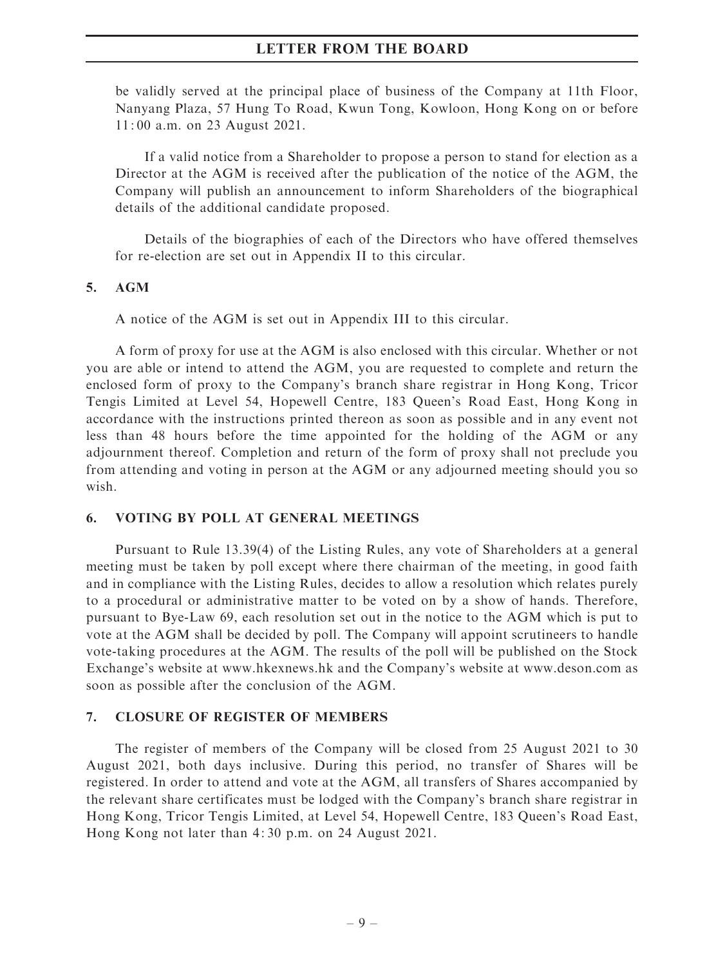be validly served at the principal place of business of the Company at 11th Floor, Nanyang Plaza, 57 Hung To Road, Kwun Tong, Kowloon, Hong Kong on or before 11: 00 a.m. on 23 August 2021.

If a valid notice from a Shareholder to propose a person to stand for election as a Director at the AGM is received after the publication of the notice of the AGM, the Company will publish an announcement to inform Shareholders of the biographical details of the additional candidate proposed.

Details of the biographies of each of the Directors who have offered themselves for re-election are set out in Appendix II to this circular.

#### 5. AGM

A notice of the AGM is set out in Appendix III to this circular.

A form of proxy for use at the AGM is also enclosed with this circular. Whether or not you are able or intend to attend the AGM, you are requested to complete and return the enclosed form of proxy to the Company's branch share registrar in Hong Kong, Tricor Tengis Limited at Level 54, Hopewell Centre, 183 Queen's Road East, Hong Kong in accordance with the instructions printed thereon as soon as possible and in any event not less than 48 hours before the time appointed for the holding of the AGM or any adjournment thereof. Completion and return of the form of proxy shall not preclude you from attending and voting in person at the AGM or any adjourned meeting should you so wish.

#### 6. VOTING BY POLL AT GENERAL MEETINGS

Pursuant to Rule 13.39(4) of the Listing Rules, any vote of Shareholders at a general meeting must be taken by poll except where there chairman of the meeting, in good faith and in compliance with the Listing Rules, decides to allow a resolution which relates purely to a procedural or administrative matter to be voted on by a show of hands. Therefore, pursuant to Bye-Law 69, each resolution set out in the notice to the AGM which is put to vote at the AGM shall be decided by poll. The Company will appoint scrutineers to handle vote-taking procedures at the AGM. The results of the poll will be published on the Stock Exchange's website at www.hkexnews.hk and the Company's website at www.deson.com as soon as possible after the conclusion of the AGM.

#### 7. CLOSURE OF REGISTER OF MEMBERS

The register of members of the Company will be closed from 25 August 2021 to 30 August 2021, both days inclusive. During this period, no transfer of Shares will be registered. In order to attend and vote at the AGM, all transfers of Shares accompanied by the relevant share certificates must be lodged with the Company's branch share registrar in Hong Kong, Tricor Tengis Limited, at Level 54, Hopewell Centre, 183 Queen's Road East, Hong Kong not later than 4: 30 p.m. on 24 August 2021.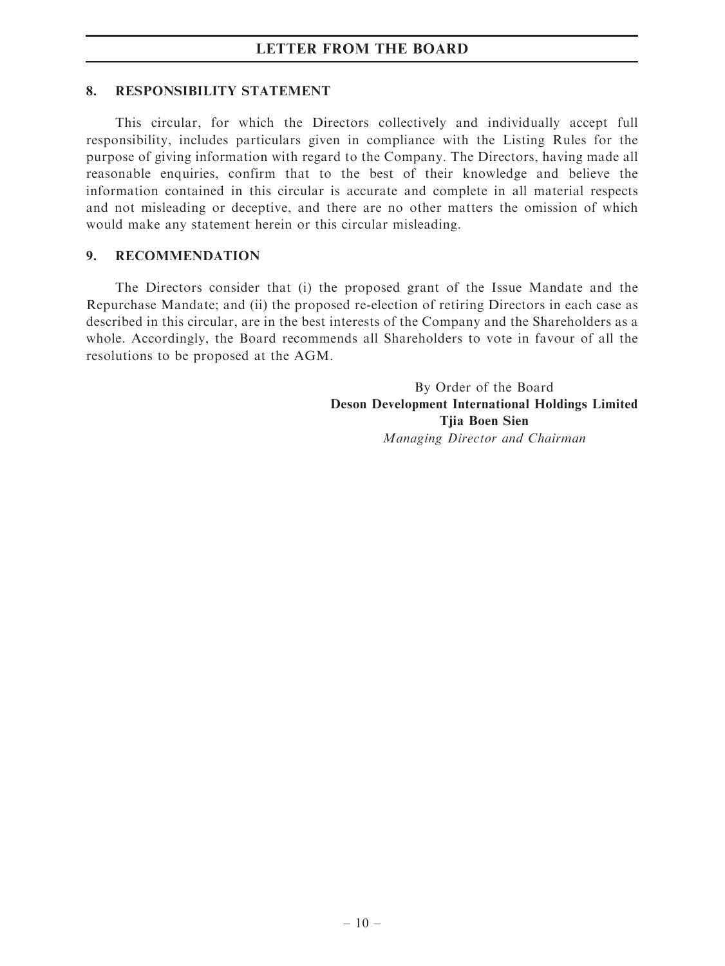#### 8. RESPONSIBILITY STATEMENT

This circular, for which the Directors collectively and individually accept full responsibility, includes particulars given in compliance with the Listing Rules for the purpose of giving information with regard to the Company. The Directors, having made all reasonable enquiries, confirm that to the best of their knowledge and believe the information contained in this circular is accurate and complete in all material respects and not misleading or deceptive, and there are no other matters the omission of which would make any statement herein or this circular misleading.

#### 9. RECOMMENDATION

The Directors consider that (i) the proposed grant of the Issue Mandate and the Repurchase Mandate; and (ii) the proposed re-election of retiring Directors in each case as described in this circular, are in the best interests of the Company and the Shareholders as a whole. Accordingly, the Board recommends all Shareholders to vote in favour of all the resolutions to be proposed at the AGM.

> By Order of the Board Deson Development International Holdings Limited Tjia Boen Sien Managing Director and Chairman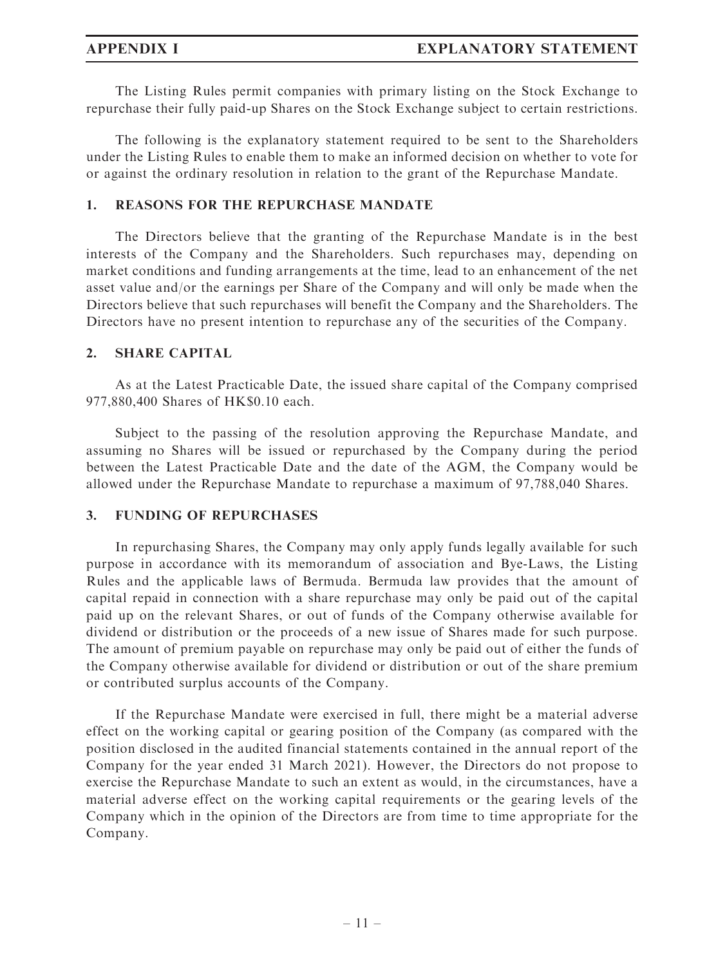The Listing Rules permit companies with primary listing on the Stock Exchange to repurchase their fully paid-up Shares on the Stock Exchange subject to certain restrictions.

The following is the explanatory statement required to be sent to the Shareholders under the Listing Rules to enable them to make an informed decision on whether to vote for or against the ordinary resolution in relation to the grant of the Repurchase Mandate.

## 1. REASONS FOR THE REPURCHASE MANDATE

The Directors believe that the granting of the Repurchase Mandate is in the best interests of the Company and the Shareholders. Such repurchases may, depending on market conditions and funding arrangements at the time, lead to an enhancement of the net asset value and/or the earnings per Share of the Company and will only be made when the Directors believe that such repurchases will benefit the Company and the Shareholders. The Directors have no present intention to repurchase any of the securities of the Company.

### 2. SHARE CAPITAL

As at the Latest Practicable Date, the issued share capital of the Company comprised 977,880,400 Shares of HK\$0.10 each.

Subject to the passing of the resolution approving the Repurchase Mandate, and assuming no Shares will be issued or repurchased by the Company during the period between the Latest Practicable Date and the date of the AGM, the Company would be allowed under the Repurchase Mandate to repurchase a maximum of 97,788,040 Shares.

### 3. FUNDING OF REPURCHASES

In repurchasing Shares, the Company may only apply funds legally available for such purpose in accordance with its memorandum of association and Bye-Laws, the Listing Rules and the applicable laws of Bermuda. Bermuda law provides that the amount of capital repaid in connection with a share repurchase may only be paid out of the capital paid up on the relevant Shares, or out of funds of the Company otherwise available for dividend or distribution or the proceeds of a new issue of Shares made for such purpose. The amount of premium payable on repurchase may only be paid out of either the funds of the Company otherwise available for dividend or distribution or out of the share premium or contributed surplus accounts of the Company.

If the Repurchase Mandate were exercised in full, there might be a material adverse effect on the working capital or gearing position of the Company (as compared with the position disclosed in the audited financial statements contained in the annual report of the Company for the year ended 31 March 2021). However, the Directors do not propose to exercise the Repurchase Mandate to such an extent as would, in the circumstances, have a material adverse effect on the working capital requirements or the gearing levels of the Company which in the opinion of the Directors are from time to time appropriate for the Company.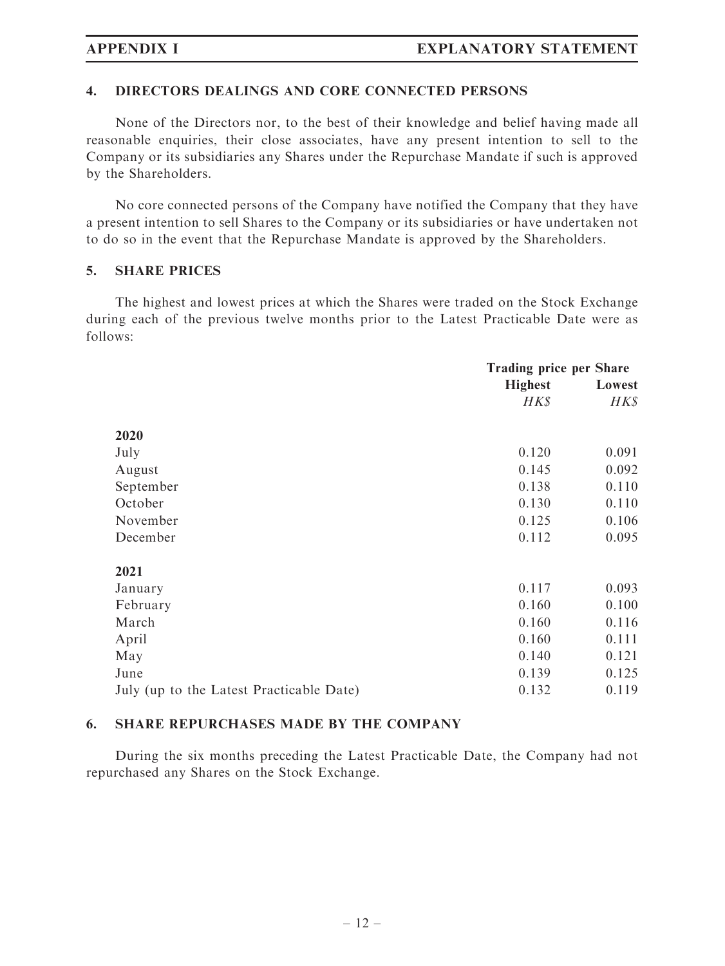#### 4. DIRECTORS DEALINGS AND CORE CONNECTED PERSONS

None of the Directors nor, to the best of their knowledge and belief having made all reasonable enquiries, their close associates, have any present intention to sell to the Company or its subsidiaries any Shares under the Repurchase Mandate if such is approved by the Shareholders.

No core connected persons of the Company have notified the Company that they have a present intention to sell Shares to the Company or its subsidiaries or have undertaken not to do so in the event that the Repurchase Mandate is approved by the Shareholders.

#### 5. SHARE PRICES

The highest and lowest prices at which the Shares were traded on the Stock Exchange during each of the previous twelve months prior to the Latest Practicable Date were as follows:

|                                          | <b>Trading price per Share</b> |        |  |
|------------------------------------------|--------------------------------|--------|--|
|                                          | <b>Highest</b>                 | Lowest |  |
|                                          | HK\$                           | H K S  |  |
| 2020                                     |                                |        |  |
| July                                     | 0.120                          | 0.091  |  |
| August                                   | 0.145                          | 0.092  |  |
| September                                | 0.138                          | 0.110  |  |
| October                                  | 0.130                          | 0.110  |  |
| November                                 | 0.125                          | 0.106  |  |
| December                                 | 0.112                          | 0.095  |  |
| 2021                                     |                                |        |  |
| January                                  | 0.117                          | 0.093  |  |
| February                                 | 0.160                          | 0.100  |  |
| March                                    | 0.160                          | 0.116  |  |
| April                                    | 0.160                          | 0.111  |  |
| May                                      | 0.140                          | 0.121  |  |
| June                                     | 0.139                          | 0.125  |  |
| July (up to the Latest Practicable Date) | 0.132                          | 0.119  |  |

### 6. SHARE REPURCHASES MADE BY THE COMPANY

During the six months preceding the Latest Practicable Date, the Company had not repurchased any Shares on the Stock Exchange.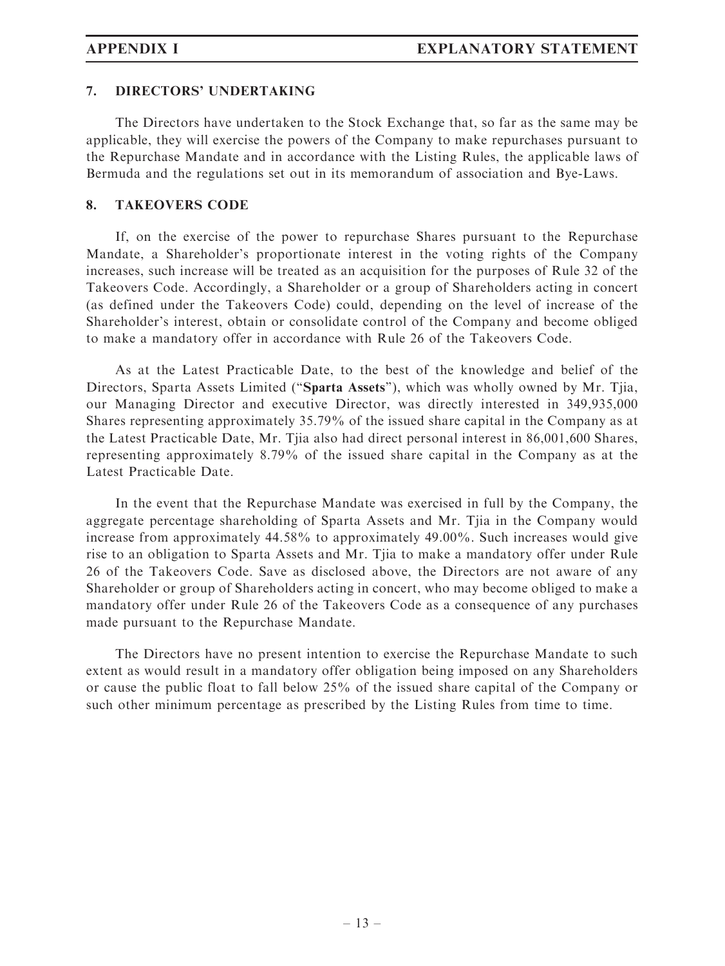#### 7. DIRECTORS' UNDERTAKING

The Directors have undertaken to the Stock Exchange that, so far as the same may be applicable, they will exercise the powers of the Company to make repurchases pursuant to the Repurchase Mandate and in accordance with the Listing Rules, the applicable laws of Bermuda and the regulations set out in its memorandum of association and Bye-Laws.

#### 8. TAKEOVERS CODE

If, on the exercise of the power to repurchase Shares pursuant to the Repurchase Mandate, a Shareholder's proportionate interest in the voting rights of the Company increases, such increase will be treated as an acquisition for the purposes of Rule 32 of the Takeovers Code. Accordingly, a Shareholder or a group of Shareholders acting in concert (as defined under the Takeovers Code) could, depending on the level of increase of the Shareholder's interest, obtain or consolidate control of the Company and become obliged to make a mandatory offer in accordance with Rule 26 of the Takeovers Code.

As at the Latest Practicable Date, to the best of the knowledge and belief of the Directors, Sparta Assets Limited (''Sparta Assets''), which was wholly owned by Mr. Tjia, our Managing Director and executive Director, was directly interested in 349,935,000 Shares representing approximately 35.79% of the issued share capital in the Company as at the Latest Practicable Date, Mr. Tjia also had direct personal interest in 86,001,600 Shares, representing approximately 8.79% of the issued share capital in the Company as at the Latest Practicable Date.

In the event that the Repurchase Mandate was exercised in full by the Company, the aggregate percentage shareholding of Sparta Assets and Mr. Tjia in the Company would increase from approximately 44.58% to approximately 49.00%. Such increases would give rise to an obligation to Sparta Assets and Mr. Tjia to make a mandatory offer under Rule 26 of the Takeovers Code. Save as disclosed above, the Directors are not aware of any Shareholder or group of Shareholders acting in concert, who may become obliged to make a mandatory offer under Rule 26 of the Takeovers Code as a consequence of any purchases made pursuant to the Repurchase Mandate.

The Directors have no present intention to exercise the Repurchase Mandate to such extent as would result in a mandatory offer obligation being imposed on any Shareholders or cause the public float to fall below 25% of the issued share capital of the Company or such other minimum percentage as prescribed by the Listing Rules from time to time.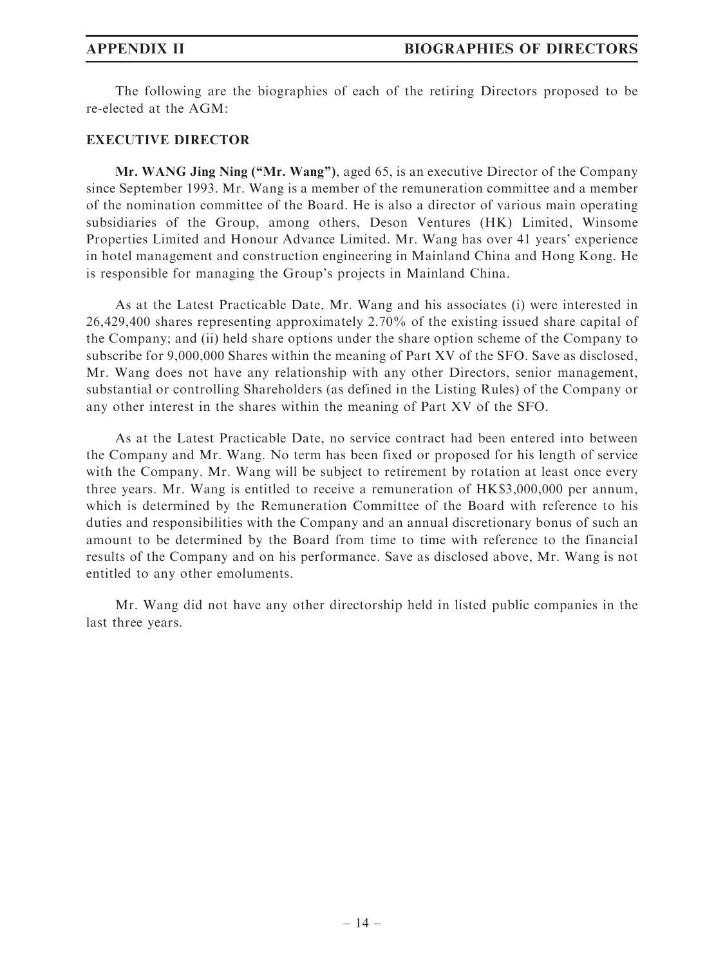The following are the biographies of each of the retiring Directors proposed to be re-elected at the AGM:

#### EXECUTIVE DIRECTOR

Mr. WANG Jing Ning ("Mr. Wang"), aged 65, is an executive Director of the Company since September 1993. Mr. Wang is a member of the remuneration committee and a member of the nomination committee of the Board. He is also a director of various main operating subsidiaries of the Group, among others, Deson Ventures (HK) Limited, Winsome Properties Limited and Honour Advance Limited. Mr. Wang has over 41 years' experience in hotel management and construction engineering in Mainland China and Hong Kong. He is responsible for managing the Group's projects in Mainland China.

As at the Latest Practicable Date, Mr. Wang and his associates (i) were interested in 26,429,400 shares representing approximately 2.70% of the existing issued share capital of the Company; and (ii) held share options under the share option scheme of the Company to subscribe for 9,000,000 Shares within the meaning of Part XV of the SFO. Save as disclosed, Mr. Wang does not have any relationship with any other Directors, senior management, substantial or controlling Shareholders (as defined in the Listing Rules) of the Company or any other interest in the shares within the meaning of Part XV of the SFO.

As at the Latest Practicable Date, no service contract had been entered into between the Company and Mr. Wang. No term has been fixed or proposed for his length of service with the Company. Mr. Wang will be subject to retirement by rotation at least once every three years. Mr. Wang is entitled to receive a remuneration of HK\$3,000,000 per annum, which is determined by the Remuneration Committee of the Board with reference to his duties and responsibilities with the Company and an annual discretionary bonus of such an amount to be determined by the Board from time to time with reference to the financial results of the Company and on his performance. Save as disclosed above, Mr. Wang is not entitled to any other emoluments.

Mr. Wang did not have any other directorship held in listed public companies in the last three years.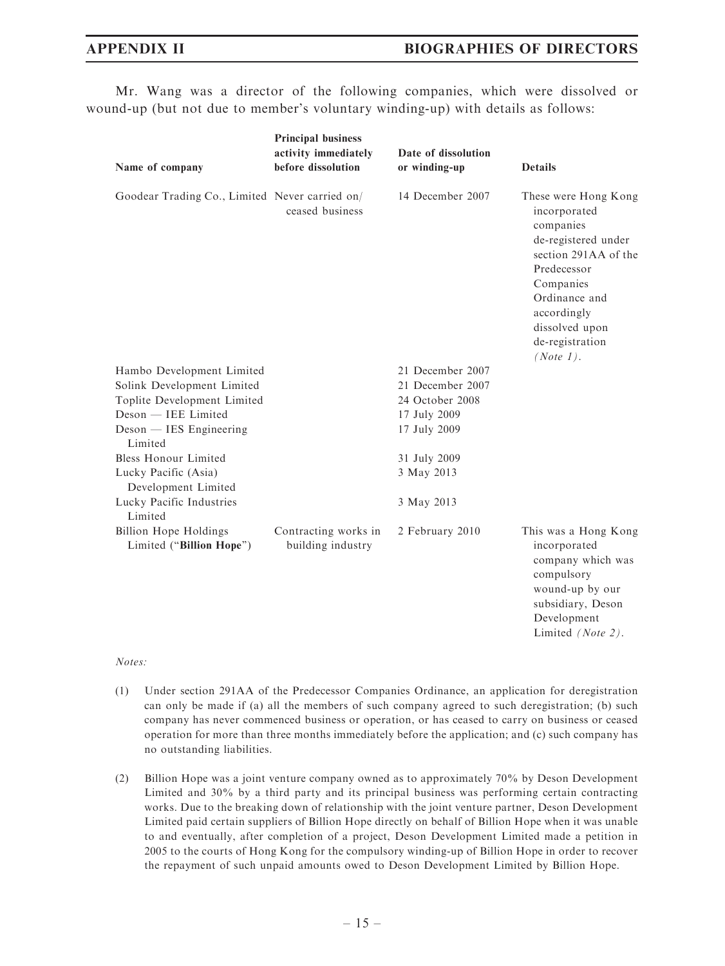Mr. Wang was a director of the following companies, which were dissolved or wound-up (but not due to member's voluntary winding-up) with details as follows:

| Name of company                                          | <b>Principal business</b><br>activity immediately<br>before dissolution | Date of dissolution<br>or winding-up | <b>Details</b>                                                                                                                                                                                                 |
|----------------------------------------------------------|-------------------------------------------------------------------------|--------------------------------------|----------------------------------------------------------------------------------------------------------------------------------------------------------------------------------------------------------------|
| Goodear Trading Co., Limited Never carried on/           | ceased business                                                         | 14 December 2007                     | These were Hong Kong<br>incorporated<br>companies<br>de-registered under<br>section 291AA of the<br>Predecessor<br>Companies<br>Ordinance and<br>accordingly<br>dissolved upon<br>de-registration<br>(Note 1). |
| Hambo Development Limited                                |                                                                         | 21 December 2007                     |                                                                                                                                                                                                                |
| Solink Development Limited                               |                                                                         | 21 December 2007                     |                                                                                                                                                                                                                |
| Toplite Development Limited                              |                                                                         | 24 October 2008                      |                                                                                                                                                                                                                |
| Deson - IEE Limited                                      |                                                                         | 17 July 2009                         |                                                                                                                                                                                                                |
| Deson — IES Engineering<br>Limited                       |                                                                         | 17 July 2009                         |                                                                                                                                                                                                                |
| <b>Bless Honour Limited</b>                              |                                                                         | 31 July 2009                         |                                                                                                                                                                                                                |
| Lucky Pacific (Asia)<br>Development Limited              |                                                                         | 3 May 2013                           |                                                                                                                                                                                                                |
| Lucky Pacific Industries<br>Limited                      |                                                                         | 3 May 2013                           |                                                                                                                                                                                                                |
| <b>Billion Hope Holdings</b><br>Limited ("Billion Hope") | Contracting works in<br>building industry                               | 2 February 2010                      | This was a Hong Kong<br>incorporated<br>company which was<br>compulsory<br>wound-up by our<br>subsidiary, Deson<br>Development<br>Limited (Note 2).                                                            |

#### Notes:

- (1) Under section 291AA of the Predecessor Companies Ordinance, an application for deregistration can only be made if (a) all the members of such company agreed to such deregistration; (b) such company has never commenced business or operation, or has ceased to carry on business or ceased operation for more than three months immediately before the application; and (c) such company has no outstanding liabilities.
- (2) Billion Hope was a joint venture company owned as to approximately 70% by Deson Development Limited and 30% by a third party and its principal business was performing certain contracting works. Due to the breaking down of relationship with the joint venture partner, Deson Development Limited paid certain suppliers of Billion Hope directly on behalf of Billion Hope when it was unable to and eventually, after completion of a project, Deson Development Limited made a petition in 2005 to the courts of Hong Kong for the compulsory winding-up of Billion Hope in order to recover the repayment of such unpaid amounts owed to Deson Development Limited by Billion Hope.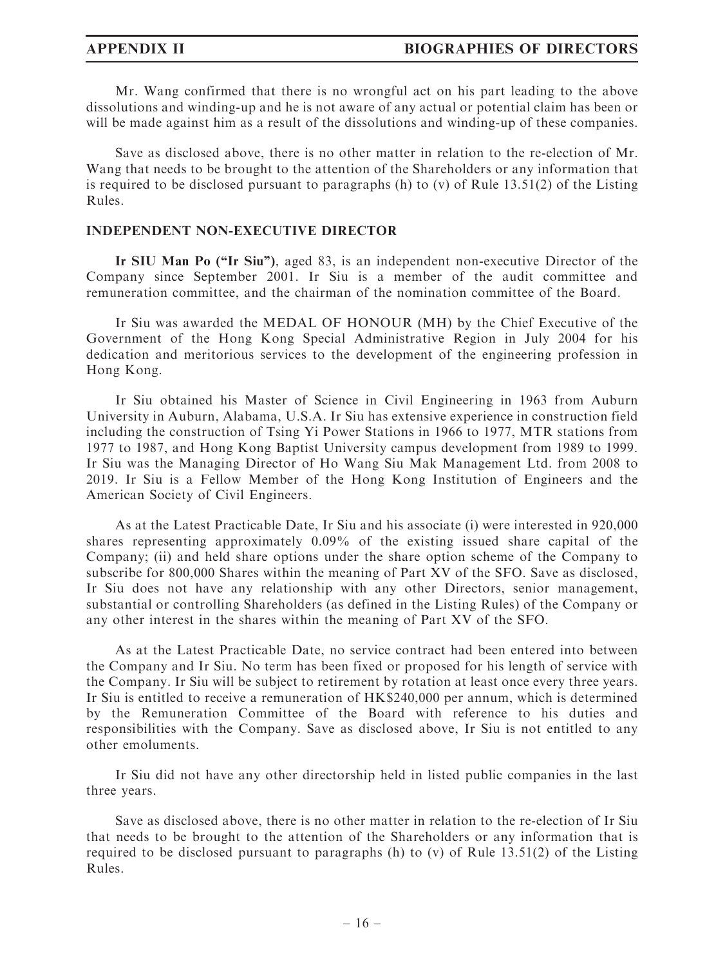Mr. Wang confirmed that there is no wrongful act on his part leading to the above dissolutions and winding-up and he is not aware of any actual or potential claim has been or will be made against him as a result of the dissolutions and winding-up of these companies.

Save as disclosed above, there is no other matter in relation to the re-election of Mr. Wang that needs to be brought to the attention of the Shareholders or any information that is required to be disclosed pursuant to paragraphs (h) to (v) of Rule 13.51(2) of the Listing Rules.

#### INDEPENDENT NON-EXECUTIVE DIRECTOR

Ir SIU Man Po (''Ir Siu''), aged 83, is an independent non-executive Director of the Company since September 2001. Ir Siu is a member of the audit committee and remuneration committee, and the chairman of the nomination committee of the Board.

Ir Siu was awarded the MEDAL OF HONOUR (MH) by the Chief Executive of the Government of the Hong Kong Special Administrative Region in July 2004 for his dedication and meritorious services to the development of the engineering profession in Hong Kong.

Ir Siu obtained his Master of Science in Civil Engineering in 1963 from Auburn University in Auburn, Alabama, U.S.A. Ir Siu has extensive experience in construction field including the construction of Tsing Yi Power Stations in 1966 to 1977, MTR stations from 1977 to 1987, and Hong Kong Baptist University campus development from 1989 to 1999. Ir Siu was the Managing Director of Ho Wang Siu Mak Management Ltd. from 2008 to 2019. Ir Siu is a Fellow Member of the Hong Kong Institution of Engineers and the American Society of Civil Engineers.

As at the Latest Practicable Date, Ir Siu and his associate (i) were interested in 920,000 shares representing approximately 0.09% of the existing issued share capital of the Company; (ii) and held share options under the share option scheme of the Company to subscribe for 800,000 Shares within the meaning of Part XV of the SFO. Save as disclosed, Ir Siu does not have any relationship with any other Directors, senior management, substantial or controlling Shareholders (as defined in the Listing Rules) of the Company or any other interest in the shares within the meaning of Part XV of the SFO.

As at the Latest Practicable Date, no service contract had been entered into between the Company and Ir Siu. No term has been fixed or proposed for his length of service with the Company. Ir Siu will be subject to retirement by rotation at least once every three years. Ir Siu is entitled to receive a remuneration of HK\$240,000 per annum, which is determined by the Remuneration Committee of the Board with reference to his duties and responsibilities with the Company. Save as disclosed above, Ir Siu is not entitled to any other emoluments.

Ir Siu did not have any other directorship held in listed public companies in the last three years.

Save as disclosed above, there is no other matter in relation to the re-election of Ir Siu that needs to be brought to the attention of the Shareholders or any information that is required to be disclosed pursuant to paragraphs (h) to (v) of Rule  $13.51(2)$  of the Listing Rules.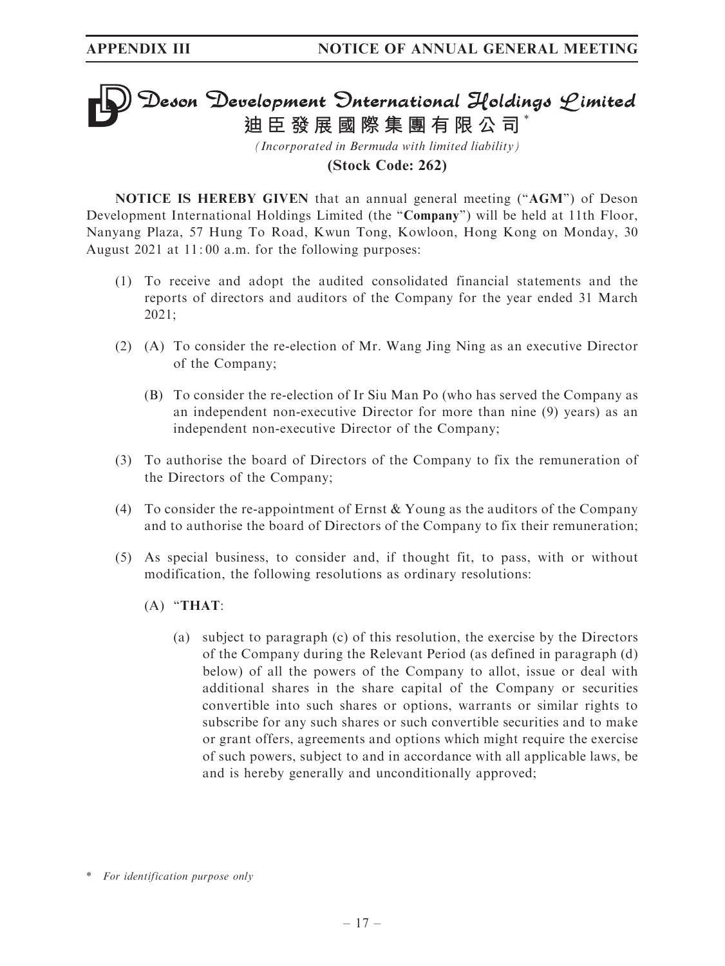# Deson Development Onternational Holdings Limited **迪臣發展國際集團有限公司** \*

*(Incorporated in Bermuda with limited liability)* **(Stock Code: 262)**

NOTICE IS HEREBY GIVEN that an annual general meeting ("AGM") of Deson Development International Holdings Limited (the "Company") will be held at 11th Floor, Nanyang Plaza, 57 Hung To Road, Kwun Tong, Kowloon, Hong Kong on Monday, 30 August 2021 at 11: 00 a.m. for the following purposes:

- (1) To receive and adopt the audited consolidated financial statements and the reports of directors and auditors of the Company for the year ended 31 March 2021;
- (2) (A) To consider the re-election of Mr. Wang Jing Ning as an executive Director of the Company;
	- (B) To consider the re-election of Ir Siu Man Po (who has served the Company as an independent non-executive Director for more than nine (9) years) as an independent non-executive Director of the Company;
- (3) To authorise the board of Directors of the Company to fix the remuneration of the Directors of the Company;
- (4) To consider the re-appointment of Ernst & Young as the auditors of the Company and to authorise the board of Directors of the Company to fix their remuneration;
- (5) As special business, to consider and, if thought fit, to pass, with or without modification, the following resolutions as ordinary resolutions:
	- $(A)$  "THAT:
		- (a) subject to paragraph (c) of this resolution, the exercise by the Directors of the Company during the Relevant Period (as defined in paragraph (d) below) of all the powers of the Company to allot, issue or deal with additional shares in the share capital of the Company or securities convertible into such shares or options, warrants or similar rights to subscribe for any such shares or such convertible securities and to make or grant offers, agreements and options which might require the exercise of such powers, subject to and in accordance with all applicable laws, be and is hereby generally and unconditionally approved;

<sup>\*</sup> For identification purpose only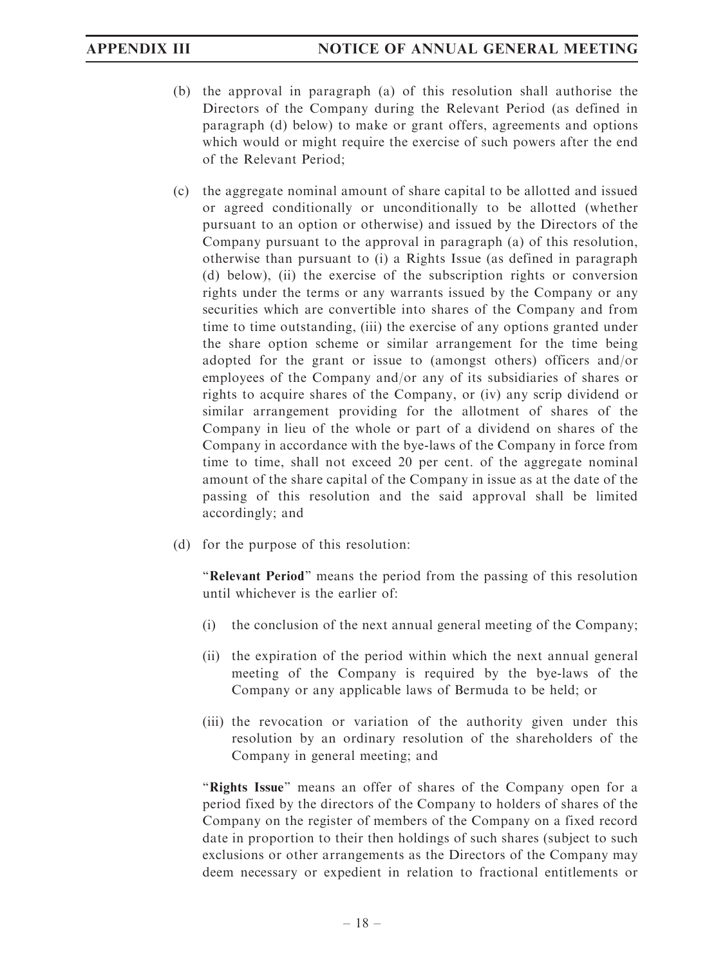- (b) the approval in paragraph (a) of this resolution shall authorise the Directors of the Company during the Relevant Period (as defined in paragraph (d) below) to make or grant offers, agreements and options which would or might require the exercise of such powers after the end of the Relevant Period;
- (c) the aggregate nominal amount of share capital to be allotted and issued or agreed conditionally or unconditionally to be allotted (whether pursuant to an option or otherwise) and issued by the Directors of the Company pursuant to the approval in paragraph (a) of this resolution, otherwise than pursuant to (i) a Rights Issue (as defined in paragraph (d) below), (ii) the exercise of the subscription rights or conversion rights under the terms or any warrants issued by the Company or any securities which are convertible into shares of the Company and from time to time outstanding, (iii) the exercise of any options granted under the share option scheme or similar arrangement for the time being adopted for the grant or issue to (amongst others) officers and/or employees of the Company and/or any of its subsidiaries of shares or rights to acquire shares of the Company, or (iv) any scrip dividend or similar arrangement providing for the allotment of shares of the Company in lieu of the whole or part of a dividend on shares of the Company in accordance with the bye-laws of the Company in force from time to time, shall not exceed 20 per cent. of the aggregate nominal amount of the share capital of the Company in issue as at the date of the passing of this resolution and the said approval shall be limited accordingly; and
- (d) for the purpose of this resolution:

''Relevant Period'' means the period from the passing of this resolution until whichever is the earlier of:

- (i) the conclusion of the next annual general meeting of the Company;
- (ii) the expiration of the period within which the next annual general meeting of the Company is required by the bye-laws of the Company or any applicable laws of Bermuda to be held; or
- (iii) the revocation or variation of the authority given under this resolution by an ordinary resolution of the shareholders of the Company in general meeting; and

"Rights Issue" means an offer of shares of the Company open for a period fixed by the directors of the Company to holders of shares of the Company on the register of members of the Company on a fixed record date in proportion to their then holdings of such shares (subject to such exclusions or other arrangements as the Directors of the Company may deem necessary or expedient in relation to fractional entitlements or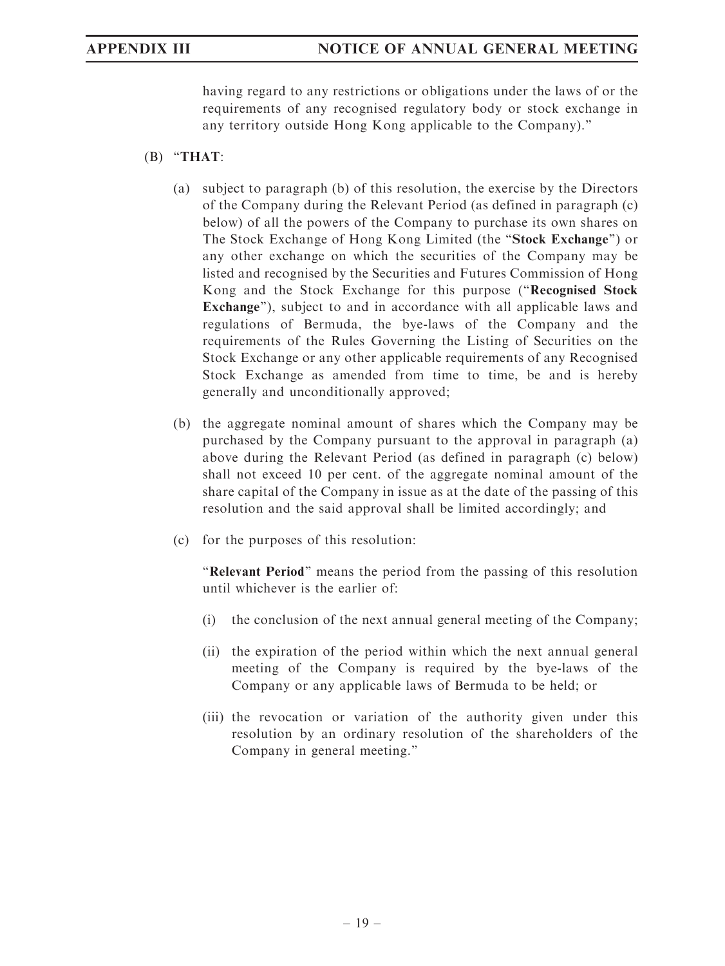having regard to any restrictions or obligations under the laws of or the requirements of any recognised regulatory body or stock exchange in any territory outside Hong Kong applicable to the Company).''

### $(B)$  "THAT:

- (a) subject to paragraph (b) of this resolution, the exercise by the Directors of the Company during the Relevant Period (as defined in paragraph (c) below) of all the powers of the Company to purchase its own shares on The Stock Exchange of Hong Kong Limited (the ''Stock Exchange'') or any other exchange on which the securities of the Company may be listed and recognised by the Securities and Futures Commission of Hong Kong and the Stock Exchange for this purpose (''Recognised Stock Exchange"), subject to and in accordance with all applicable laws and regulations of Bermuda, the bye-laws of the Company and the requirements of the Rules Governing the Listing of Securities on the Stock Exchange or any other applicable requirements of any Recognised Stock Exchange as amended from time to time, be and is hereby generally and unconditionally approved;
- (b) the aggregate nominal amount of shares which the Company may be purchased by the Company pursuant to the approval in paragraph (a) above during the Relevant Period (as defined in paragraph (c) below) shall not exceed 10 per cent. of the aggregate nominal amount of the share capital of the Company in issue as at the date of the passing of this resolution and the said approval shall be limited accordingly; and
- (c) for the purposes of this resolution:

"Relevant Period" means the period from the passing of this resolution until whichever is the earlier of:

- (i) the conclusion of the next annual general meeting of the Company;
- (ii) the expiration of the period within which the next annual general meeting of the Company is required by the bye-laws of the Company or any applicable laws of Bermuda to be held; or
- (iii) the revocation or variation of the authority given under this resolution by an ordinary resolution of the shareholders of the Company in general meeting.''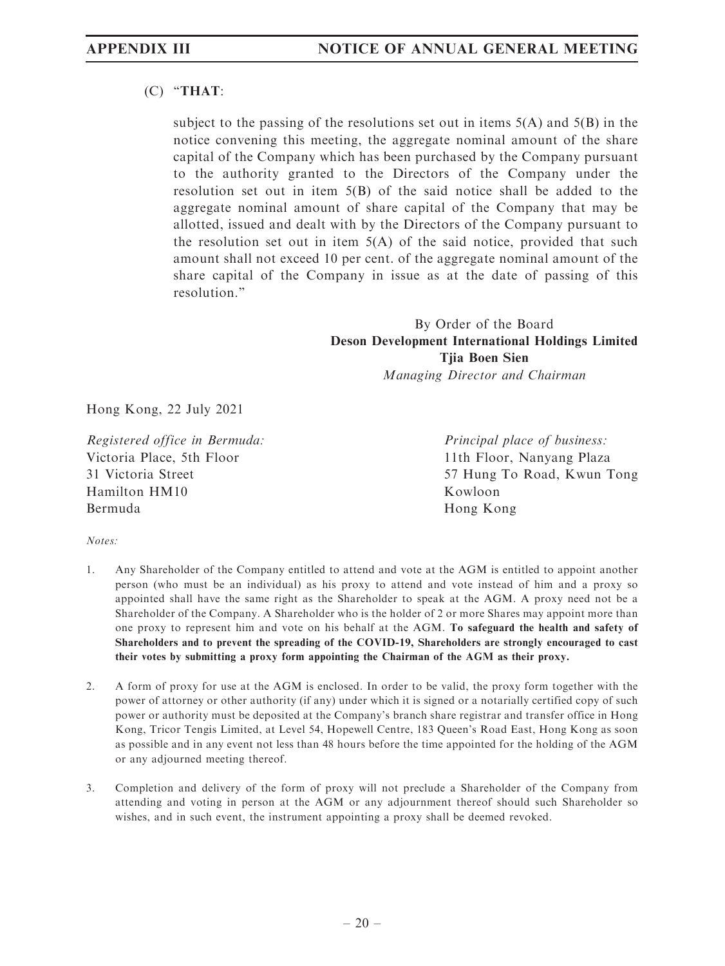### (C) ''THAT:

subject to the passing of the resolutions set out in items  $5(A)$  and  $5(B)$  in the notice convening this meeting, the aggregate nominal amount of the share capital of the Company which has been purchased by the Company pursuant to the authority granted to the Directors of the Company under the resolution set out in item 5(B) of the said notice shall be added to the aggregate nominal amount of share capital of the Company that may be allotted, issued and dealt with by the Directors of the Company pursuant to the resolution set out in item 5(A) of the said notice, provided that such amount shall not exceed 10 per cent. of the aggregate nominal amount of the share capital of the Company in issue as at the date of passing of this resolution.''

> By Order of the Board Deson Development International Holdings Limited Tjia Boen Sien Managing Director and Chairman

Hong Kong, 22 July 2021

Registered office in Bermuda: Victoria Place, 5th Floor 31 Victoria Street Hamilton HM10 Bermuda

Principal place of business: 11th Floor, Nanyang Plaza 57 Hung To Road, Kwun Tong Kowloon Hong Kong

Notes:

- 1. Any Shareholder of the Company entitled to attend and vote at the AGM is entitled to appoint another person (who must be an individual) as his proxy to attend and vote instead of him and a proxy so appointed shall have the same right as the Shareholder to speak at the AGM. A proxy need not be a Shareholder of the Company. A Shareholder who is the holder of 2 or more Shares may appoint more than one proxy to represent him and vote on his behalf at the AGM. To safeguard the health and safety of Shareholders and to prevent the spreading of the COVID-19, Shareholders are strongly encouraged to cast their votes by submitting a proxy form appointing the Chairman of the AGM as their proxy.
- 2. A form of proxy for use at the AGM is enclosed. In order to be valid, the proxy form together with the power of attorney or other authority (if any) under which it is signed or a notarially certified copy of such power or authority must be deposited at the Company's branch share registrar and transfer office in Hong Kong, Tricor Tengis Limited, at Level 54, Hopewell Centre, 183 Queen's Road East, Hong Kong as soon as possible and in any event not less than 48 hours before the time appointed for the holding of the AGM or any adjourned meeting thereof.
- 3. Completion and delivery of the form of proxy will not preclude a Shareholder of the Company from attending and voting in person at the AGM or any adjournment thereof should such Shareholder so wishes, and in such event, the instrument appointing a proxy shall be deemed revoked.